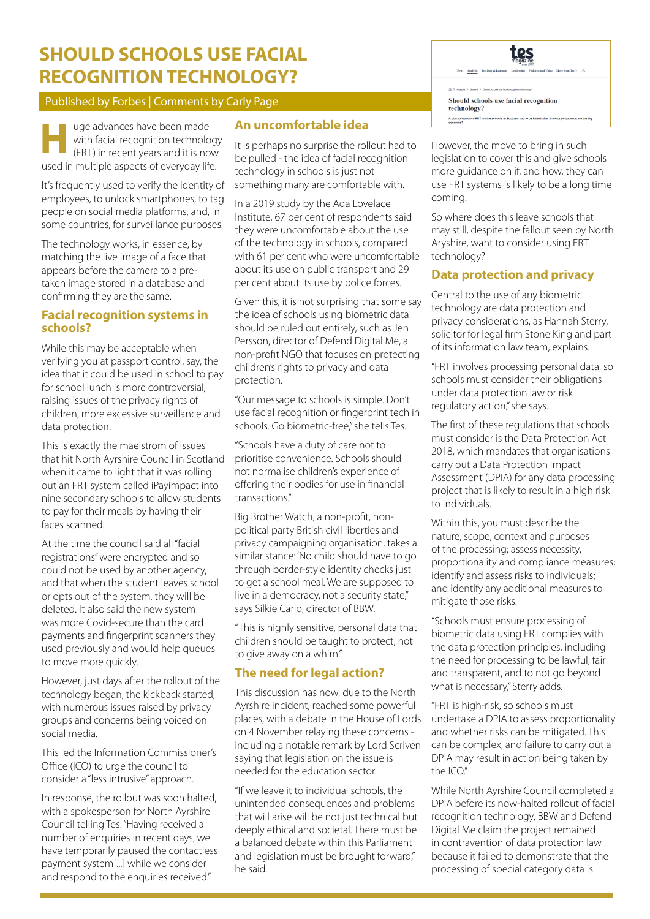# **SHOULD SCHOOLS USE FACIAL RECOGNITION TECHNOLOGY?**

### Published by Forbes | Comments by Carly Page

uge advances have been made with facial recognition technology (FRT) in recent years and it is now **H** used in multiple aspects of everyday life.

It's frequently used to verify the identity of employees, to unlock smartphones, to tag people on social media platforms, and, in some countries, for surveillance purposes.

The technology works, in essence, by matching the live image of a face that appears before the camera to a pretaken image stored in a database and confirming they are the same.

### **Facial recognition systems in schools?**

While this may be acceptable when verifying you at passport control, say, the idea that it could be used in school to pay for school lunch is more controversial, raising issues of the privacy rights of children, more excessive surveillance and data protection.

This is exactly the maelstrom of issues that hit North Ayrshire Council in Scotland when it came to light that it was rolling out an FRT system called iPayimpact into nine secondary schools to allow students to pay for their meals by having their faces scanned.

At the time the council said all "facial registrations" were encrypted and so could not be used by another agency, and that when the student leaves school or opts out of the system, they will be deleted. It also said the new system was more Covid-secure than the card payments and fingerprint scanners they used previously and would help queues to move more quickly.

However, just days after the rollout of the technology began, the kickback started, with numerous issues raised by privacy groups and concerns being voiced on social media.

This led the Information Commissioner's Office (ICO) to urge the council to consider a "less intrusive" approach.

In response, the rollout was soon halted, with a spokesperson for North Ayrshire Council telling Tes: "Having received a number of enquiries in recent days, we have temporarily paused the contactless payment system[...] while we consider and respond to the enquiries received."

## **An uncomfortable idea**

It is perhaps no surprise the rollout had to be pulled - the idea of facial recognition technology in schools is just not something many are comfortable with.

In a 2019 study by the Ada Lovelace Institute, 67 per cent of respondents said they were uncomfortable about the use of the technology in schools, compared with 61 per cent who were uncomfortable about its use on public transport and 29 per cent about its use by police forces.

Given this, it is not surprising that some say the idea of schools using biometric data should be ruled out entirely, such as Jen Persson, director of Defend Digital Me, a non-profit NGO that focuses on protecting children's rights to privacy and data protection.

"Our message to schools is simple. Don't use facial recognition or fingerprint tech in schools. Go biometric-free," she tells Tes.

"Schools have a duty of care not to prioritise convenience. Schools should not normalise children's experience of offering their bodies for use in financial transactions."

Big Brother Watch, a non-profit, nonpolitical party British civil liberties and privacy campaigning organisation, takes a similar stance: 'No child should have to go through border-style identity checks just to get a school meal. We are supposed to live in a democracy, not a security state," says Silkie Carlo, director of BBW.

"This is highly sensitive, personal data that children should be taught to protect, not to give away on a whim."

## **The need for legal action?**

This discussion has now, due to the North Ayrshire incident, reached some powerful places, with a debate in the House of Lords on 4 November relaying these concerns including a notable remark by Lord Scriven saying that legislation on the issue is needed for the education sector.

"If we leave it to individual schools, the unintended consequences and problems that will arise will be not just technical but deeply ethical and societal. There must be a balanced debate within this Parliament and legislation must be brought forward." he said.



However, the move to bring in such legislation to cover this and give schools more guidance on if, and how, they can use FRT systems is likely to be a long time coming.

So where does this leave schools that may still, despite the fallout seen by North Aryshire, want to consider using FRT technology?

## **Data protection and privacy**

Central to the use of any biometric technology are data protection and privacy considerations, as Hannah Sterry, solicitor for legal firm Stone King and part of its information law team, explains.

"FRT involves processing personal data, so schools must consider their obligations under data protection law or risk regulatory action," she says.

The first of these regulations that schools must consider is the Data Protection Act 2018, which mandates that organisations carry out a Data Protection Impact Assessment (DPIA) for any data processing project that is likely to result in a high risk to individuals.

Within this, you must describe the nature, scope, context and purposes of the processing; assess necessity, proportionality and compliance measures; identify and assess risks to individuals; and identify any additional measures to mitigate those risks.

"Schools must ensure processing of biometric data using FRT complies with the data protection principles, including the need for processing to be lawful, fair and transparent, and to not go beyond what is necessary," Sterry adds.

"FRT is high-risk, so schools must undertake a DPIA to assess proportionality and whether risks can be mitigated. This can be complex, and failure to carry out a DPIA may result in action being taken by the ICO."

While North Ayrshire Council completed a DPIA before its now-halted rollout of facial recognition technology, BBW and Defend Digital Me claim the project remained in contravention of data protection law because it failed to demonstrate that the processing of special category data is